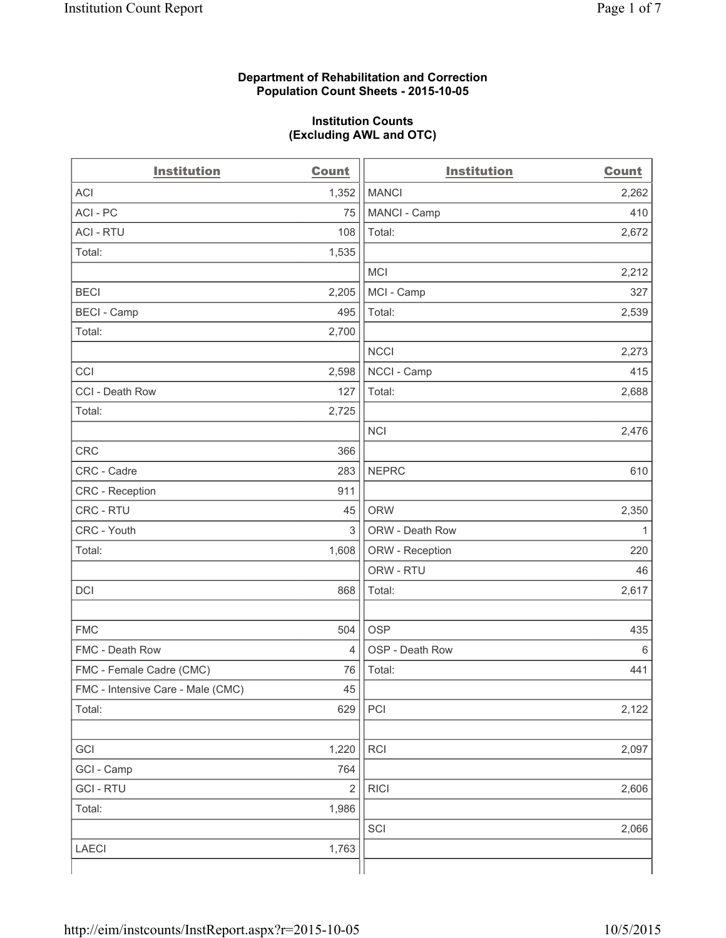## **Department of Rehabilitation and Correction Population Count Sheets - 2015-10-05**

## **Institution Counts (Excluding AWL and OTC)**

| <b>Institution</b>                | <b>Count</b>            | <b>Institution</b> | <b>Count</b> |
|-----------------------------------|-------------------------|--------------------|--------------|
| <b>ACI</b>                        | 1,352                   | <b>MANCI</b>       | 2,262        |
| ACI-PC                            | 75                      | MANCI - Camp       | 410          |
| <b>ACI - RTU</b>                  | 108                     | Total:             | 2,672        |
| Total:                            | 1,535                   |                    |              |
|                                   |                         | <b>MCI</b>         | 2,212        |
| <b>BECI</b>                       | 2,205                   | MCI - Camp         | 327          |
| <b>BECI</b> - Camp                | 495                     | Total:             | 2,539        |
| Total:                            | 2,700                   |                    |              |
|                                   |                         | <b>NCCI</b>        | 2,273        |
| CCI                               | 2,598                   | NCCI - Camp        | 415          |
| CCI - Death Row                   | 127                     | Total:             | 2,688        |
| Total:                            | 2,725                   |                    |              |
|                                   |                         | <b>NCI</b>         | 2,476        |
| <b>CRC</b>                        | 366                     |                    |              |
| CRC - Cadre                       | 283                     | <b>NEPRC</b>       | 610          |
| CRC - Reception                   | 911                     |                    |              |
| CRC - RTU                         | 45                      | <b>ORW</b>         | 2,350        |
| CRC - Youth                       | 3                       | ORW - Death Row    | 1            |
| Total:                            | 1,608                   | ORW - Reception    | 220          |
|                                   |                         | ORW - RTU          | 46           |
| DCI                               | 868                     | Total:             | 2,617        |
|                                   |                         |                    |              |
| <b>FMC</b>                        | 504                     | <b>OSP</b>         | 435          |
| FMC - Death Row                   | $\overline{4}$          | OSP - Death Row    | 6            |
| FMC - Female Cadre (CMC)          | 76                      | Total:             | 441          |
| FMC - Intensive Care - Male (CMC) | 45                      |                    |              |
| Total:                            | 629                     | PCI                | 2,122        |
|                                   |                         |                    |              |
| GCI                               | 1,220                   | <b>RCI</b>         | 2,097        |
| GCI - Camp                        | 764                     |                    |              |
| <b>GCI-RTU</b>                    | $\overline{\mathbf{c}}$ | <b>RICI</b>        | 2,606        |
| Total:                            | 1,986                   |                    |              |
|                                   |                         | SCI                | 2,066        |
| <b>LAECI</b>                      | 1,763                   |                    |              |
|                                   |                         |                    |              |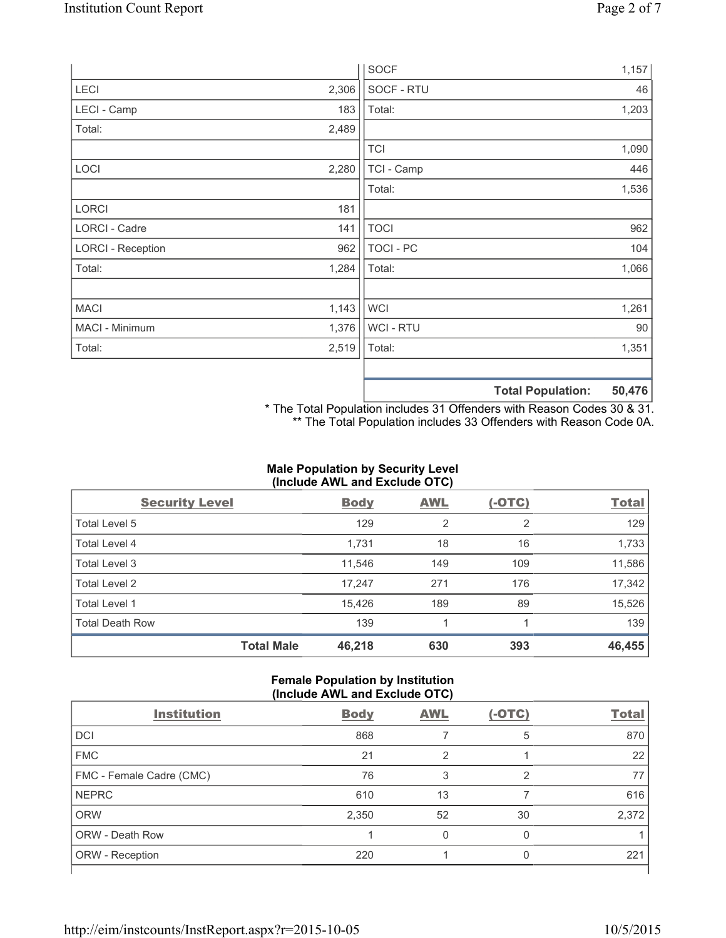|                          |       | <b>SOCF</b>      | 1,157                       |
|--------------------------|-------|------------------|-----------------------------|
| <b>LECI</b>              | 2,306 | SOCF - RTU       | 46                          |
| LECI - Camp              | 183   | Total:           | 1,203                       |
| Total:                   | 2,489 |                  |                             |
|                          |       | <b>TCI</b>       | 1,090                       |
| LOCI                     | 2,280 | TCI - Camp       | 446                         |
|                          |       | Total:           | 1,536                       |
| <b>LORCI</b>             | 181   |                  |                             |
| LORCI - Cadre            | 141   | <b>TOCI</b>      | 962                         |
| <b>LORCI - Reception</b> | 962   | <b>TOCI - PC</b> | 104                         |
| Total:                   | 1,284 | Total:           | 1,066                       |
|                          |       |                  |                             |
| <b>MACI</b>              | 1,143 | <b>WCI</b>       | 1,261                       |
| MACI - Minimum           | 1,376 | WCI - RTU        | 90                          |
| Total:                   | 2,519 | Total:           | 1,351                       |
|                          |       |                  |                             |
|                          |       |                  | EN ATC<br>Total Dopulation: |

**Total Population: 50,476**

\* The Total Population includes 31 Offenders with Reason Codes 30 & 31. \*\* The Total Population includes 33 Offenders with Reason Code 0A.

# **Male Population by Security Level (Include AWL and Exclude OTC)**

| <b>Security Level</b>  |                   | <b>Body</b> | <b>AWL</b> | $(-OTC)$ | <b>Total</b> |
|------------------------|-------------------|-------------|------------|----------|--------------|
| Total Level 5          |                   | 129         | 2          | 2        | 129          |
| <b>Total Level 4</b>   |                   | 1,731       | 18         | 16       | 1,733        |
| Total Level 3          |                   | 11,546      | 149        | 109      | 11,586       |
| Total Level 2          |                   | 17,247      | 271        | 176      | 17,342       |
| Total Level 1          |                   | 15,426      | 189        | 89       | 15,526       |
| <b>Total Death Row</b> |                   | 139         |            |          | 139          |
|                        | <b>Total Male</b> | 46,218      | 630        | 393      | 46,455       |

### **Female Population by Institution (Include AWL and Exclude OTC)**

| <b>Institution</b>       | <b>Body</b> | <b>AWL</b> | (-OTC) | <b>Total</b> |
|--------------------------|-------------|------------|--------|--------------|
| <b>DCI</b>               | 868         |            | 5      | 870          |
| <b>FMC</b>               | 21          | 2          |        | 22           |
| FMC - Female Cadre (CMC) | 76          | З          | っ      | 77           |
| <b>NEPRC</b>             | 610         | 13         |        | 616          |
| <b>ORW</b>               | 2,350       | 52         | 30     | 2,372        |
| <b>ORW - Death Row</b>   |             |            | 0      |              |
| ORW - Reception          | 220         |            | 0      | 221          |
|                          |             |            |        |              |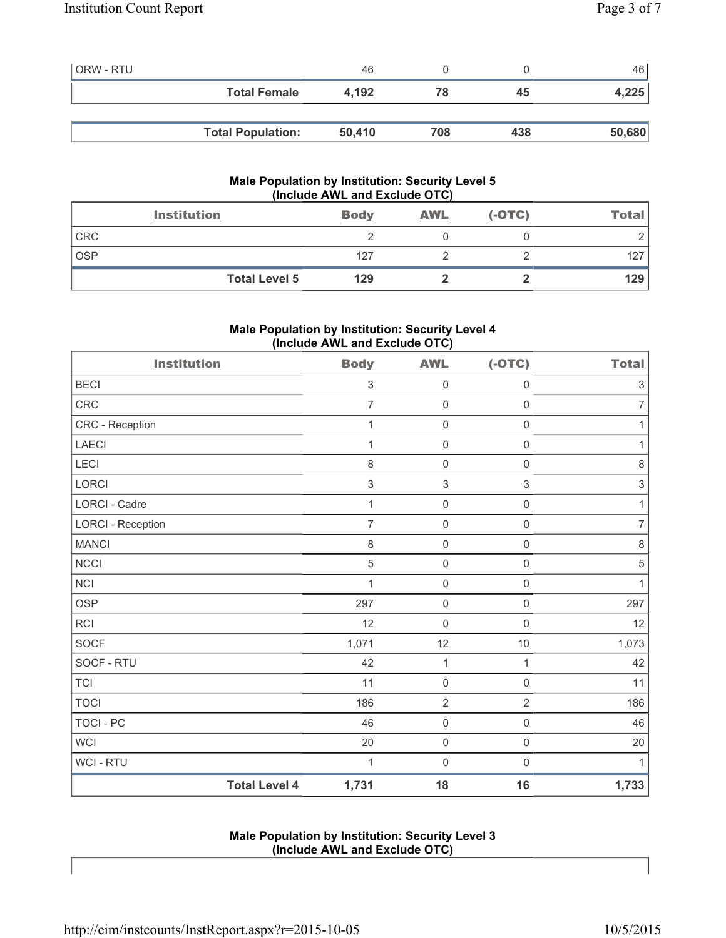| <b>ORW - RTU</b> |                          | 46     |     |     | 46 I   |
|------------------|--------------------------|--------|-----|-----|--------|
|                  | <b>Total Female</b>      | 4,192  | 78  | 45  | 4,225  |
|                  |                          |        |     |     |        |
|                  | <b>Total Population:</b> | 50,410 | 708 | 438 | 50,680 |

# **Male Population by Institution: Security Level 5 (Include AWL and Exclude OTC)**

|            | <b>Institution</b>   | <b>Body</b> | <b>AWL</b> | $(-OTC)$ | <b>Total</b> |
|------------|----------------------|-------------|------------|----------|--------------|
| <b>CRC</b> |                      |             |            |          |              |
| <b>OSP</b> |                      | 127         |            |          | 127          |
|            | <b>Total Level 5</b> | 129         |            |          | 129          |

# **Male Population by Institution: Security Level 4 (Include AWL and Exclude OTC)**

| <b>Institution</b>       |                      | <b>Body</b>    | <b>AWL</b>          | $(-OTC)$            | <b>Total</b>              |
|--------------------------|----------------------|----------------|---------------------|---------------------|---------------------------|
| <b>BECI</b>              |                      | $\sqrt{3}$     | $\mathsf{O}\xspace$ | $\mathsf{O}\xspace$ | $\ensuremath{\mathsf{3}}$ |
| CRC                      |                      | $\overline{7}$ | $\mathbf 0$         | $\mathsf{O}\xspace$ | $\overline{7}$            |
| CRC - Reception          |                      | 1              | $\mathsf{O}\xspace$ | $\mathsf{O}\xspace$ | 1                         |
| <b>LAECI</b>             |                      | 1              | $\mathsf 0$         | $\mathsf 0$         | $\mathbf{1}$              |
| LECI                     |                      | 8              | $\mathbf 0$         | $\mathbf 0$         | $\,8\,$                   |
| <b>LORCI</b>             |                      | $\sqrt{3}$     | $\,$ 3 $\,$         | 3                   | $\sqrt{3}$                |
| LORCI - Cadre            |                      | 1              | $\mathsf{O}\xspace$ | $\mathsf 0$         | $\mathbf{1}$              |
| <b>LORCI - Reception</b> |                      | $\overline{7}$ | $\mathbf 0$         | $\mathsf{O}\xspace$ | $\overline{7}$            |
| <b>MANCI</b>             |                      | 8              | $\mathsf{O}\xspace$ | $\mathsf 0$         | $\,8\,$                   |
| <b>NCCI</b>              |                      | $\sqrt{5}$     | $\mathsf 0$         | $\mathsf{O}\xspace$ | $\sqrt{5}$                |
| <b>NCI</b>               |                      | 1              | $\mathbf 0$         | $\mathsf{O}\xspace$ | $\mathbf{1}$              |
| <b>OSP</b>               |                      | 297            | $\mathsf{O}\xspace$ | $\mathsf{O}\xspace$ | 297                       |
| <b>RCI</b>               |                      | 12             | $\mathbf 0$         | $\mathsf{O}\xspace$ | 12                        |
| <b>SOCF</b>              |                      | 1,071          | 12                  | 10                  | 1,073                     |
| SOCF - RTU               |                      | 42             | $\mathbf{1}$        | 1                   | 42                        |
| <b>TCI</b>               |                      | 11             | $\mathsf{O}\xspace$ | $\mathsf 0$         | 11                        |
| <b>TOCI</b>              |                      | 186            | $\overline{2}$      | $\overline{2}$      | 186                       |
| <b>TOCI - PC</b>         |                      | 46             | $\mathsf{O}\xspace$ | $\mathsf{O}\xspace$ | 46                        |
| <b>WCI</b>               |                      | 20             | $\mathsf{O}\xspace$ | $\mathsf 0$         | 20                        |
| WCI - RTU                |                      | 1              | $\mathbf 0$         | $\mathsf 0$         | 1                         |
|                          | <b>Total Level 4</b> | 1,731          | 18                  | 16                  | 1,733                     |

## **Male Population by Institution: Security Level 3 (Include AWL and Exclude OTC)**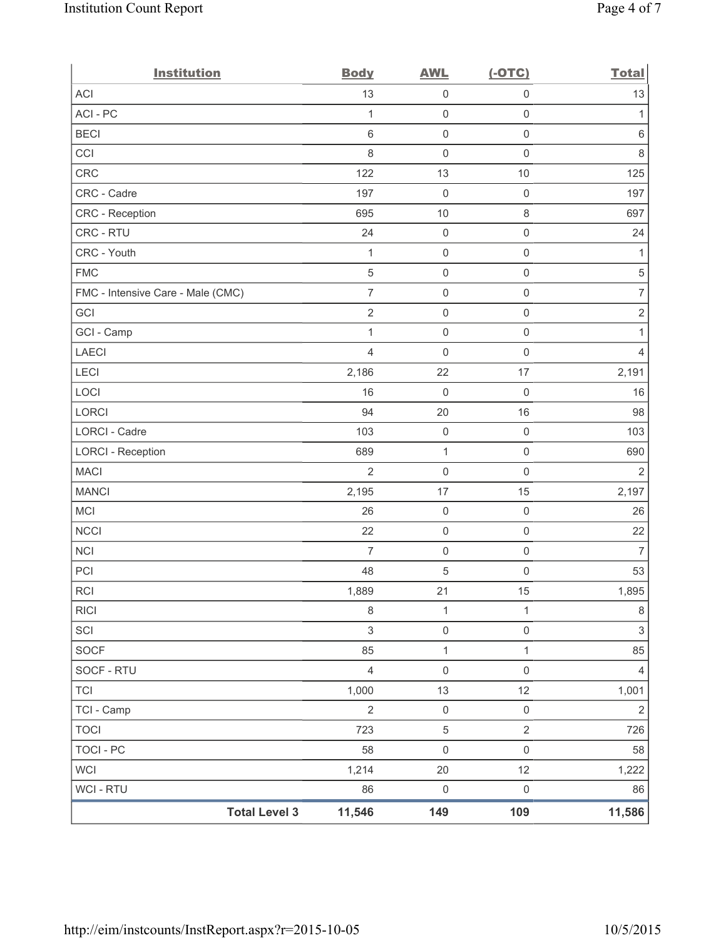| <b>Institution</b>                | <b>Body</b>    | <b>AWL</b>          | $(-OTC)$            | <b>Total</b>   |
|-----------------------------------|----------------|---------------------|---------------------|----------------|
| <b>ACI</b>                        | 13             | $\mathbf 0$         | $\mathsf 0$         | 13             |
| ACI-PC                            | $\mathbf{1}$   | $\mathsf{O}\xspace$ | $\mathsf 0$         | 1              |
| <b>BECI</b>                       | $\,6\,$        | $\mathbf 0$         | $\mathsf 0$         | $\,6$          |
| CCI                               | 8              | $\mathsf{O}\xspace$ | $\mathsf 0$         | $\,8\,$        |
| CRC                               | 122            | 13                  | 10                  | 125            |
| CRC - Cadre                       | 197            | $\mathbf 0$         | $\mathsf 0$         | 197            |
| CRC - Reception                   | 695            | 10                  | $\,8\,$             | 697            |
| CRC - RTU                         | 24             | $\mathsf{O}\xspace$ | $\mathsf 0$         | 24             |
| CRC - Youth                       | $\mathbf{1}$   | $\mathsf{O}\xspace$ | $\mathsf 0$         | $\mathbf{1}$   |
| <b>FMC</b>                        | $\sqrt{5}$     | $\mathsf{O}\xspace$ | $\mathsf 0$         | $\,$ 5 $\,$    |
| FMC - Intensive Care - Male (CMC) | $\overline{7}$ | $\mathsf{O}\xspace$ | $\mathsf 0$         | $\overline{7}$ |
| GCI                               | $\sqrt{2}$     | $\mathsf{O}\xspace$ | $\mathsf 0$         | $\sqrt{2}$     |
| GCI - Camp                        | $\mathbf{1}$   | $\mathsf{O}\xspace$ | $\mathsf 0$         | $\mathbf{1}$   |
| <b>LAECI</b>                      | $\overline{4}$ | $\mathsf{O}\xspace$ | $\mathsf 0$         | $\overline{4}$ |
| LECI                              | 2,186          | 22                  | 17                  | 2,191          |
| LOCI                              | 16             | $\mathbf 0$         | $\mathsf 0$         | 16             |
| LORCI                             | 94             | 20                  | 16                  | 98             |
| LORCI - Cadre                     | 103            | $\mathsf{O}\xspace$ | $\mathsf 0$         | 103            |
| <b>LORCI - Reception</b>          | 689            | $\mathbf{1}$        | $\mathsf 0$         | 690            |
| <b>MACI</b>                       | $\overline{2}$ | $\mathsf{O}\xspace$ | $\mathsf{O}\xspace$ | $\overline{2}$ |
| <b>MANCI</b>                      | 2,195          | 17                  | 15                  | 2,197          |
| MCI                               | 26             | $\mathbf 0$         | $\mathsf{O}\xspace$ | 26             |
| <b>NCCI</b>                       | 22             | $\mathsf{O}\xspace$ | $\mathsf 0$         | 22             |
| <b>NCI</b>                        | $\overline{7}$ | $\mathbf 0$         | $\mathsf 0$         | $\overline{7}$ |
| PCI                               | 48             | 5                   | $\boldsymbol{0}$    | 53             |
| $\sf RCI$                         | 1,889          | 21                  | 15                  | 1,895          |
| <b>RICI</b>                       | 8              | $\mathbf{1}$        | $\mathbf{1}$        | 8              |
| SCI                               | $\mathsf 3$    | $\mathsf 0$         | $\mathsf 0$         | $\mathfrak{S}$ |
| SOCF                              | 85             | $\mathbf{1}$        | $\mathbf{1}$        | 85             |
| SOCF - RTU                        | $\overline{4}$ | $\mathsf 0$         | $\mathsf 0$         | $\overline{4}$ |
| <b>TCI</b>                        | 1,000          | 13                  | 12                  | 1,001          |
| TCI - Camp                        | $\overline{2}$ | $\mathsf 0$         | $\mathsf{O}\xspace$ | $\overline{2}$ |
| <b>TOCI</b>                       | 723            | $\,$ 5 $\,$         | $\sqrt{2}$          | 726            |
| <b>TOCI - PC</b>                  | 58             | $\mathsf 0$         | $\mathsf 0$         | 58             |
| <b>WCI</b>                        | 1,214          | $20\,$              | 12                  | 1,222          |
| WCI - RTU                         | 86             | $\mathsf 0$         | $\mathsf 0$         | 86             |
| <b>Total Level 3</b>              | 11,546         | 149                 | 109                 | 11,586         |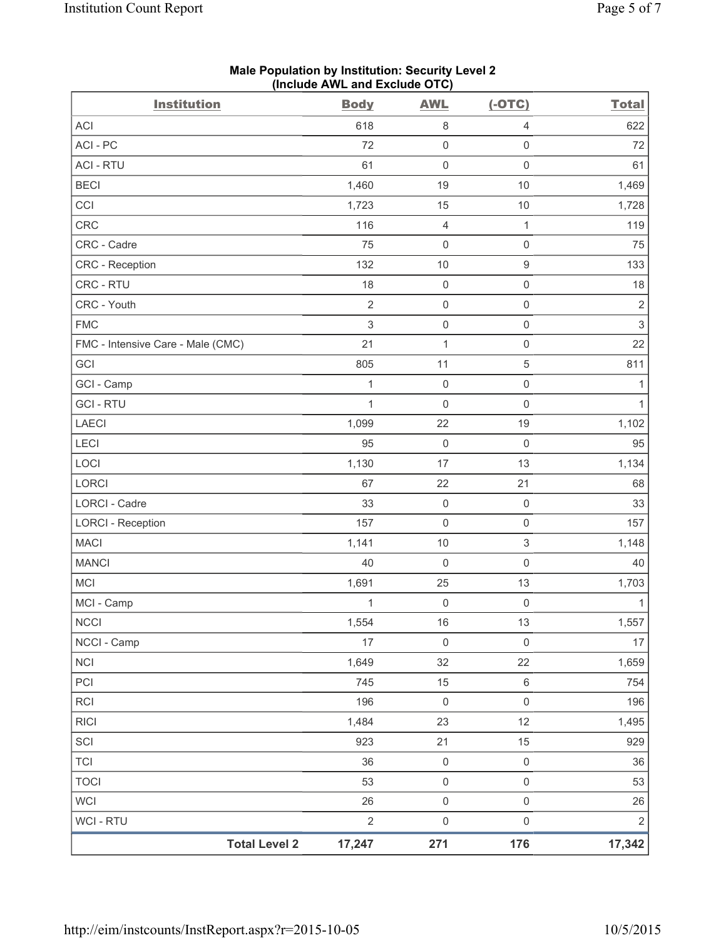| <b>Institution</b>                | $($ molution $\overline{C}$ and $\overline{C}$ actual $\overline{C}$ is $\overline{C}$<br><b>Body</b> | <b>AWL</b>          | $(-OTC)$                  | <b>Total</b>   |
|-----------------------------------|-------------------------------------------------------------------------------------------------------|---------------------|---------------------------|----------------|
| <b>ACI</b>                        | 618                                                                                                   | 8                   | $\overline{4}$            | 622            |
| ACI - PC                          | 72                                                                                                    | $\mathsf{O}\xspace$ | $\mathbf 0$               | 72             |
| <b>ACI - RTU</b>                  | 61                                                                                                    | $\mathbf 0$         | $\mathsf 0$               | 61             |
| <b>BECI</b>                       | 1,460                                                                                                 | 19                  | 10                        | 1,469          |
| CCI                               | 1,723                                                                                                 | 15                  | 10                        | 1,728          |
| <b>CRC</b>                        | 116                                                                                                   | 4                   | $\mathbf{1}$              | 119            |
| CRC - Cadre                       | 75                                                                                                    | $\mathbf 0$         | $\mathsf 0$               | 75             |
| CRC - Reception                   | 132                                                                                                   | 10                  | $\boldsymbol{9}$          | 133            |
| CRC - RTU                         | 18                                                                                                    | $\mathsf{O}\xspace$ | $\mathsf{O}\xspace$       | 18             |
| CRC - Youth                       | $\overline{2}$                                                                                        | $\mathsf{O}\xspace$ | $\mathsf 0$               | $\overline{2}$ |
| <b>FMC</b>                        | $\,$ 3 $\,$                                                                                           | $\mathsf{O}\xspace$ | $\mathsf 0$               | $\sqrt{3}$     |
| FMC - Intensive Care - Male (CMC) | 21                                                                                                    | $\mathbf{1}$        | $\mathsf 0$               | 22             |
| GCI                               | 805                                                                                                   | 11                  | $\sqrt{5}$                | 811            |
| GCI - Camp                        | $\mathbf{1}$                                                                                          | $\mathsf{O}\xspace$ | $\mathsf{O}\xspace$       | $\mathbf{1}$   |
| <b>GCI-RTU</b>                    | $\mathbf{1}$                                                                                          | $\mathbf 0$         | $\mathsf 0$               | 1              |
| LAECI                             | 1,099                                                                                                 | 22                  | 19                        | 1,102          |
| LECI                              | 95                                                                                                    | $\mathbf 0$         | $\mathsf 0$               | 95             |
| LOCI                              | 1,130                                                                                                 | 17                  | 13                        | 1,134          |
| LORCI                             | 67                                                                                                    | 22                  | 21                        | 68             |
| LORCI - Cadre                     | 33                                                                                                    | $\mathsf{O}\xspace$ | $\mathbf 0$               | 33             |
| <b>LORCI - Reception</b>          | 157                                                                                                   | $\mathsf{O}\xspace$ | $\mathsf 0$               | 157            |
| <b>MACI</b>                       | 1,141                                                                                                 | 10                  | $\ensuremath{\mathsf{3}}$ | 1,148          |
| <b>MANCI</b>                      | 40                                                                                                    | $\mathsf{O}\xspace$ | $\mathsf 0$               | 40             |
| MCI                               | 1,691                                                                                                 | 25                  | 13                        | 1,703          |
| MCI - Camp                        | $\mathbf{1}$                                                                                          | $\mathsf 0$         | $\mathbf 0$               | $\mathbf{1}$   |
| <b>NCCI</b>                       | 1,554                                                                                                 | 16                  | 13                        | 1,557          |
| NCCI - Camp                       | 17                                                                                                    | $\mathsf{O}\xspace$ | $\mathsf 0$               | 17             |
| <b>NCI</b>                        | 1,649                                                                                                 | 32                  | 22                        | 1,659          |
| PCI                               | 745                                                                                                   | 15                  | $\,6\,$                   | 754            |
| <b>RCI</b>                        | 196                                                                                                   | $\mathbf 0$         | $\mathsf 0$               | 196            |
| <b>RICI</b>                       | 1,484                                                                                                 | 23                  | 12                        | 1,495          |
| SCI                               | 923                                                                                                   | 21                  | 15                        | 929            |
| <b>TCI</b>                        | 36                                                                                                    | $\mathsf 0$         | $\mathsf 0$               | 36             |
| <b>TOCI</b>                       | 53                                                                                                    | $\mathsf{O}\xspace$ | $\mathsf{O}\xspace$       | 53             |
| <b>WCI</b>                        | 26                                                                                                    | $\mathsf{O}\xspace$ | $\mathsf 0$               | 26             |
| WCI - RTU                         | $\sqrt{2}$                                                                                            | $\mathsf{O}\xspace$ | $\mathsf{O}\xspace$       | $\overline{2}$ |
| <b>Total Level 2</b>              | 17,247                                                                                                | 271                 | 176                       | 17,342         |

#### **Male Population by Institution: Security Level 2 (Include AWL and Exclude OTC)**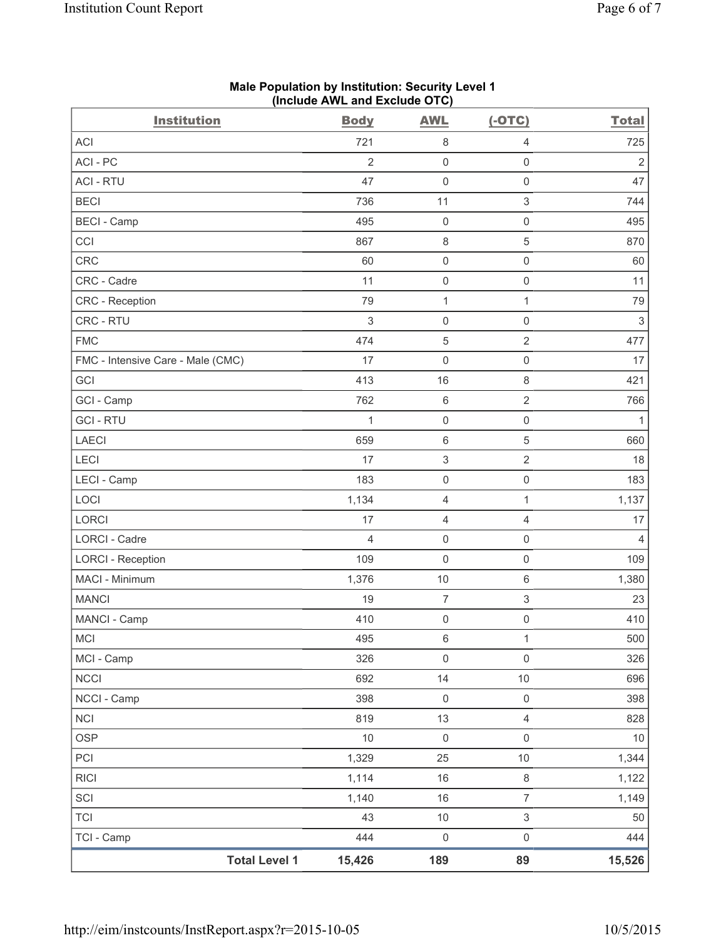| <b>Institution</b>                | <b>Body</b>    | <b>AWL</b>          | $(-OTC)$                  | <b>Total</b>   |
|-----------------------------------|----------------|---------------------|---------------------------|----------------|
| <b>ACI</b>                        | 721            | 8                   | $\overline{4}$            | 725            |
| ACI-PC                            | $\overline{2}$ | 0                   | $\mathbf 0$               | $\overline{2}$ |
| <b>ACI - RTU</b>                  | 47             | $\mathsf{O}\xspace$ | $\mathsf{O}\xspace$       | 47             |
| <b>BECI</b>                       | 736            | 11                  | $\ensuremath{\mathsf{3}}$ | 744            |
| <b>BECI</b> - Camp                | 495            | 0                   | $\mathsf 0$               | 495            |
| CCI                               | 867            | $\,8\,$             | $\sqrt{5}$                | 870            |
| CRC                               | 60             | $\mathbf 0$         | $\mathbf 0$               | 60             |
| CRC - Cadre                       | 11             | $\mathsf{O}\xspace$ | $\mathsf{O}\xspace$       | 11             |
| CRC - Reception                   | 79             | $\mathbf 1$         | $\mathbf{1}$              | 79             |
| CRC - RTU                         | 3              | $\mathbf 0$         | $\mathsf{O}\xspace$       | $\sqrt{3}$     |
| <b>FMC</b>                        | 474            | 5                   | $\overline{2}$            | 477            |
| FMC - Intensive Care - Male (CMC) | 17             | 0                   | $\mathbf 0$               | 17             |
| GCI                               | 413            | 16                  | 8                         | 421            |
| GCI - Camp                        | 762            | 6                   | $\sqrt{2}$                | 766            |
| <b>GCI-RTU</b>                    | $\mathbf{1}$   | $\mathsf 0$         | $\mathsf{O}\xspace$       | $\mathbf{1}$   |
| <b>LAECI</b>                      | 659            | 6                   | $\sqrt{5}$                | 660            |
| LECI                              | 17             | 3                   | $\sqrt{2}$                | 18             |
| LECI - Camp                       | 183            | $\mathsf{O}\xspace$ | $\mathsf 0$               | 183            |
| LOCI                              | 1,134          | 4                   | $\mathbf{1}$              | 1,137          |
| LORCI                             | 17             | 4                   | $\overline{4}$            | 17             |
| LORCI - Cadre                     | $\overline{4}$ | 0                   | $\mathsf{O}\xspace$       | $\overline{4}$ |
| <b>LORCI - Reception</b>          | 109            | $\mathbf 0$         | $\mathbf 0$               | 109            |
| MACI - Minimum                    | 1,376          | 10                  | $\,6\,$                   | 1,380          |
| <b>MANCI</b>                      | 19             | $\overline{7}$      | $\ensuremath{\mathsf{3}}$ | 23             |
| MANCI - Camp                      | 410            | $\mathsf{O}\xspace$ | $\mathsf{O}\xspace$       | 410            |
| <b>MCI</b>                        | 495            | $\,6\,$             | $\mathbf{1}$              | 500            |
| MCI - Camp                        | 326            | $\mathsf{O}\xspace$ | $\mathsf{O}\xspace$       | 326            |
| NCCI                              | 692            | 14                  | $10$                      | 696            |
| NCCI - Camp                       | 398            | $\mathsf 0$         | $\mathsf{O}\xspace$       | 398            |
| NCI                               | 819            | 13                  | $\overline{4}$            | 828            |
| <b>OSP</b>                        | $10$           | $\mathbf 0$         | $\mathsf{O}\xspace$       | 10             |
| PCI                               | 1,329          | 25                  | $10$                      | 1,344          |
| <b>RICI</b>                       | 1,114          | 16                  | $\,8\,$                   | 1,122          |
| SCI                               | 1,140          | 16                  | $\overline{7}$            | 1,149          |
| <b>TCI</b>                        | 43             | $10$                | $\ensuremath{\mathsf{3}}$ | $50\,$         |
| TCI - Camp                        | 444            | $\mathsf 0$         | $\mathsf{O}\xspace$       | 444            |
| <b>Total Level 1</b>              | 15,426         | 189                 | 89                        | 15,526         |

## **Male Population by Institution: Security Level 1 (Include AWL and Exclude OTC)**